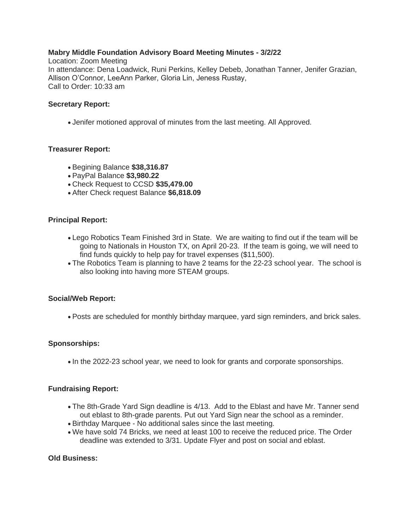# **Mabry Middle Foundation Advisory Board Meeting Minutes - 3/2/22**

Location: Zoom Meeting In attendance: Dena Loadwick, Runi Perkins, Kelley Debeb, Jonathan Tanner, Jenifer Grazian, Allison O'Connor, LeeAnn Parker, Gloria Lin, Jeness Rustay, Call to Order: 10:33 am

#### **Secretary Report:**

• Jenifer motioned approval of minutes from the last meeting. All Approved.

# **Treasurer Report:**

- Begining Balance **\$38,316.87**
- PayPal Balance **\$3,980.22**
- Check Request to CCSD **\$35,479.00**
- After Check request Balance **\$6,818.09**

### **Principal Report:**

- Lego Robotics Team Finished 3rd in State. We are waiting to find out if the team will be going to Nationals in Houston TX, on April 20-23. If the team is going, we will need to find funds quickly to help pay for travel expenses (\$11,500).
- The Robotics Team is planning to have 2 teams for the 22-23 school year. The school is also looking into having more STEAM groups.

#### **Social/Web Report:**

• Posts are scheduled for monthly birthday marquee, yard sign reminders, and brick sales.

#### **Sponsorships:**

• In the 2022-23 school year, we need to look for grants and corporate sponsorships.

#### **Fundraising Report:**

- The 8th-Grade Yard Sign deadline is 4/13. Add to the Eblast and have Mr. Tanner send out eblast to 8th-grade parents. Put out Yard Sign near the school as a reminder.
- Birthday Marquee No additional sales since the last meeting.
- We have sold 74 Bricks, we need at least 100 to receive the reduced price. The Order deadline was extended to 3/31. Update Flyer and post on social and eblast.

### **Old Business:**